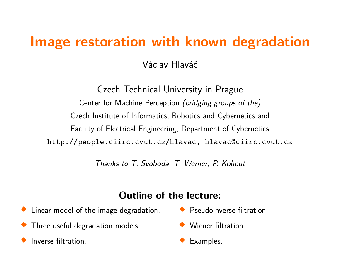## **Image restoration with known degradation**

Václav Hlaváč

Czech Technical University in Prague Center for Machine Perception (bridging groups of the) Czech Institute of Informatics, Robotics and Cybernetics and Faculty of Electrical Engineering, Department of Cybernetics http://people.ciirc.cvut.cz/hlavac, hlavac@ciirc.cvut.cz

Thanks to T. Svoboda, T. Werner, P. Kohout

#### **Outline of the lecture:**

- Linear model of the image degradation.
- $\blacklozenge$  Three useful degradation models..
- $\blacklozenge$ Inverse filtration.
- **•** Pseudoinverse filtration.
- ♦ Wiener filtration.
- $\blacklozenge$ Examples.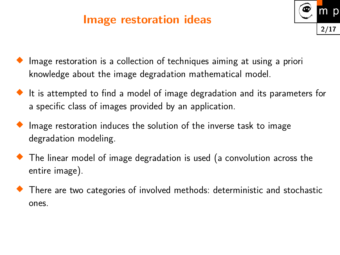#### **Image restoration ideas**



- ♦ Image restoration is a collection of techniques aiming at using a priori knowledge about the image degradation mathematical model.
- It is attempted to find a model of image degradation and its parameters for a specific class of images provided by an application.
- ♦ Image restoration induces the solution of the inverse task to image degradation modeling.
- $\blacklozenge$  The linear model of image degradation is used (a convolution across the entire image).
- $\blacklozenge$  There are two categories of involved methods: deterministic and stochastic ones.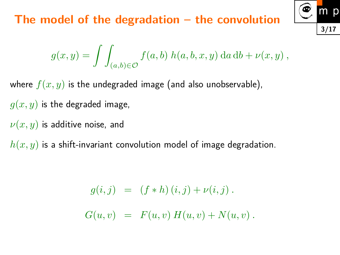#### **The model of the degradation – the convolution**



$$
g(x,y) = \int\int_{(a,b)\in\mathcal{O}} f(a,b) h(a,b,x,y) da db + \nu(x,y),
$$

where  $f(x, y)$  is the undegraded image (and also unobservable),  $g(x, y)$  is the degraded image, *ν*(*x, y*) is additive noise, and

*h*(*x, y*) is a shift-invariant convolution model of image degradation.

$$
g(i,j) = (f * h) (i, j) + \nu(i, j).
$$
  

$$
G(u, v) = F(u, v) H(u, v) + N(u, v).
$$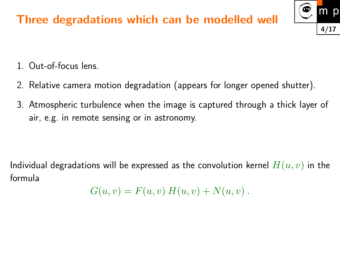### **Three degradations which can be modelled well**



- 1. Out-of-focus lens.
- 2. Relative camera motion degradation (appears for longer opened shutter).
- 3. Atmospheric turbulence when the image is captured through a thick layer of air, e.g. in remote sensing or in astronomy.

Individual degradations will be expressed as the convolution kernel *H*(*u, v*) in the formula

$$
G(u, v) = F(u, v) H(u, v) + N(u, v).
$$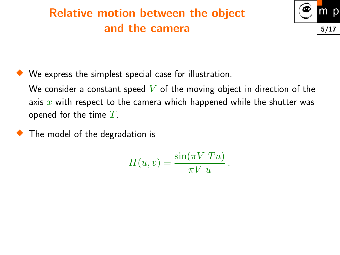## **Relative motion between the object and the camera**



♦ We express the simplest special case for illustration.

We consider a constant speed *V* of the moving object in direction of the axis *x* with respect to the camera which happened while the shutter was opened for the time *T*.

 $\blacklozenge$  The model of the degradation is

$$
H(u,v) = \frac{\sin(\pi V T u)}{\pi V u}.
$$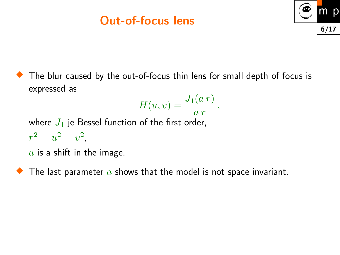## **Out-of-focus lens**



The blur caused by the out-of-focus thin lens for small depth of focus is expressed as

$$
H(u,v)=\frac{J_1(a\ r)}{a\ r}\,,
$$

where  $J_1$  je Bessel function of the first order,  $r^2 = u^2 + v^2$ ,

*a* is a shift in the image.

 $\blacklozenge$  The last parameter  $a$  shows that the model is not space invariant.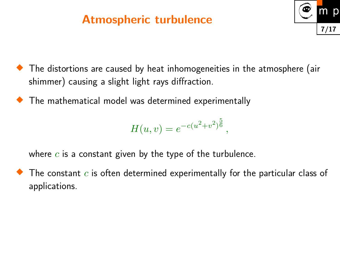## **Atmospheric turbulence**



- $\blacklozenge$  The distortions are caused by heat inhomogeneities in the atmosphere (air shimmer) causing a slight light rays diffraction.
- $\blacklozenge$  The mathematical model was determined experimentally

$$
H(u, v) = e^{-c(u^2 + v^2)^{\frac{5}{6}}},
$$

where *c* is a constant given by the type of the turbulence.

 $\blacklozenge$ The constant *c* is often determined experimentally for the particular class of applications.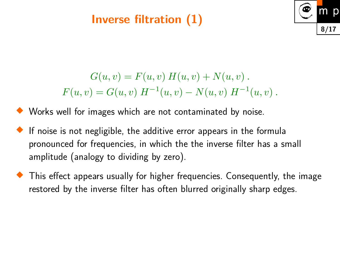### **Inverse filtration (1)**



$$
G(u, v) = F(u, v) H(u, v) + N(u, v).
$$
  

$$
F(u, v) = G(u, v) H^{-1}(u, v) - N(u, v) H^{-1}(u, v).
$$

#### $\blacklozenge$ Works well for images which are not contaminated by noise.

- $\blacklozenge$ If noise is not negligible, the additive error appears in the formula pronounced for frequencies, in which the the inverse filter has a small amplitude (analogy to dividing by zero).
- $\blacklozenge$  This effect appears usually for higher frequencies. Consequently, the image restored by the inverse filter has often blurred originally sharp edges.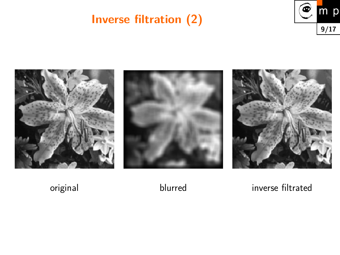# **Inverse filtration (2)**





original blurred inverse filtrated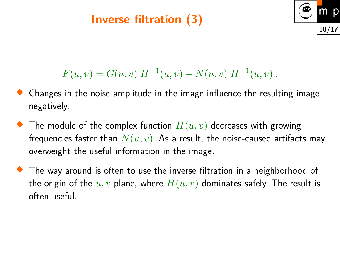### **Inverse filtration (3)**



$$
F(u, v) = G(u, v) H^{-1}(u, v) - N(u, v) H^{-1}(u, v).
$$

- ♦ Changes in the noise amplitude in the image influence the resulting image negatively.
- ♦ The module of the complex function  $H(u, v)$  decreases with growing frequencies faster than  $N(u, v)$ . As a result, the noise-caused artifacts may overweight the useful information in the image.
- The way around is often to use the inverse filtration in a neighborhood of the origin of the  $u, v$  plane, where  $H(u, v)$  dominates safely. The result is often useful.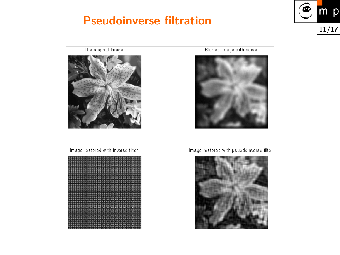#### **Pseudoinverse filtration**



The original Image



Image restored with inverse filter



Blurred image with noise



Image restored with psuedoinverse filter

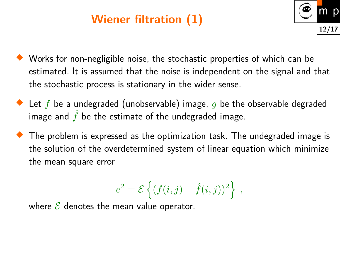## **Wiener filtration (1)**



- Works for non-negligible noise, the stochastic properties of which can be estimated. It is assumed that the noise is independent on the signal and that the stochastic process is stationary in the wider sense.
- ◆ Let  $f$  be a undegraded (unobservable) image,  $g$  be the observable degraded image and  $\hat{f}$  be the estimate of the undegraded image.
- $\blacklozenge$  The problem is expressed as the optimization task. The undegraded image is the solution of the overdetermined system of linear equation which minimize the mean square error

$$
e2 = \mathcal{E}\left\{ (f(i,j) - \hat{f}(i,j))^{2} \right\} ,
$$

where  $\mathcal E$  denotes the mean value operator.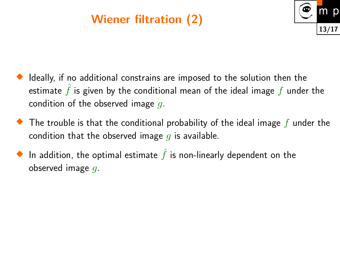## **Wiener filtration (2)**



- ♦ Ideally, if no additional constrains are imposed to the solution then the estimate  $\hat{f}$  is given by the conditional mean of the ideal image  $f$  under the condition of the observed image *g*.
- The trouble is that the conditional probability of the ideal image *f* under the condition that the observed image *g* is available.
- $\blacklozenge$  In addition, the optimal estimate  $\hat{f}$  is non-linearly dependent on the observed image *g*.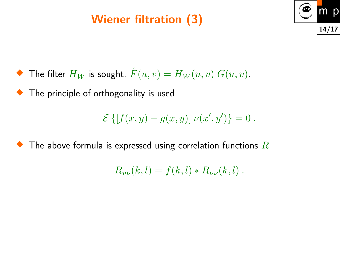## **Wiener filtration (3)**



 The filter  $H_W$  is sought,  $\hat{F}(u,v) = H_W(u,v)$   $G(u,v)$ .

**The principle of orthogonality is used** 

$$
\mathcal{E}\left\{[f(x,y) - g(x,y)] \nu(x',y')\right\} = 0.
$$

 $\blacklozenge$ The above formula is expressed using correlation functions *R*

$$
R_{\nu\nu}(k,l) = f(k,l) * R_{\nu\nu}(k,l) .
$$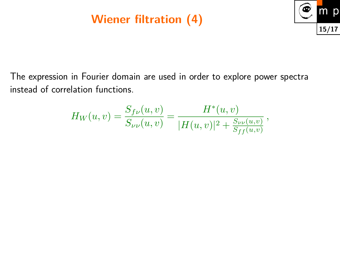## **Wiener filtration (4)**



The expression in Fourier domain are used in order to explore power spectra instead of correlation functions.

$$
H_W(u, v) = \frac{S_{f\nu}(u, v)}{S_{\nu\nu}(u, v)} = \frac{H^*(u, v)}{|H(u, v)|^2 + \frac{S_{\nu\nu}(u, v)}{S_{ff}(u, v)}},
$$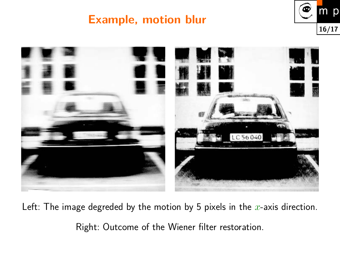#### **Example, motion blur**





Left: The image degreded by the motion by 5 pixels in the *x*-axis direction. Right: Outcome of the Wiener filter restoration.